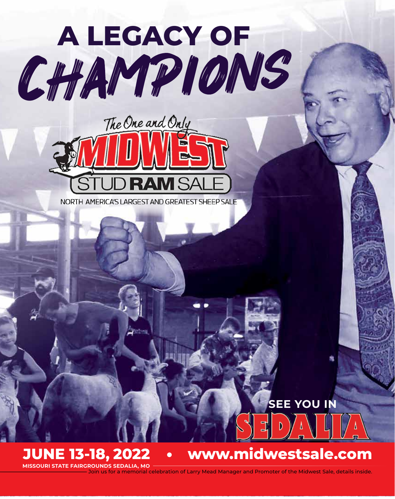



NORTH AMERICA'S LARGEST AND GREATEST SHEEP SALE

**SEE YOU IN**

**MISSOURI STATE FAIRGROUNDS SEDALIA, MO**

# **JUNE 13-18, 2022 www.midwestsale.com**

Join us for a memorial celebration of Larry Mead Manager and Promoter of the Midwest Sale, details inside.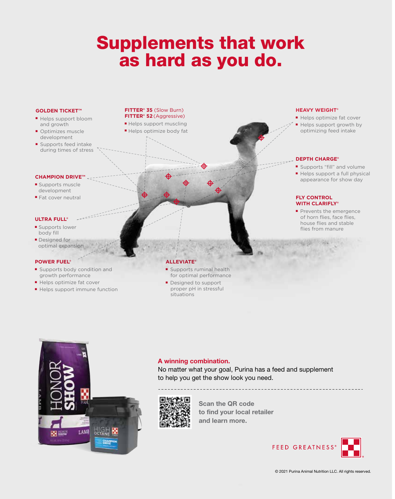# Supplements that work as hard as you do. Supplements that work applements that w

# **GOLDEN TICKET™**

- Helps support bloom and growth
- Optimizes muscle explorement
	- $\blacksquare$  Supports feed intake during times of stress

# **CHAMPION DRIVE™**

- Supports muscle at cover development
	- Fat cover neutral

### **ULTRA FULL®** ■ Supports lower

- Supports lower a body fill
- Designed for optimal expansion

### **POWER FUEL®**

- Supports body condition and Supports body condition and end of the performance  $\blacksquare$  Supports body
- Helps optimize fat cover
	- Helps support immune function

### **FITTER® 35** (Slow Burn) **FITTER<sup>®</sup> 52** (Aggressive) **FITTER<sup>®</sup> 35** (Slow B

- Helps support muscling ■ Helps optimize body fat
	-

### **HEAVY WEIGHT®**  $H$  Helps optimize factors  $\mathbf{r}$

- Helps optimize fat cover
	- $\mathbb{P}^*$   $\blacksquare$  Helps support growth by optimizing feed intake

### **DEPTH CHARGE®**  $\mathbb{R}^{\mathbb{R}^{\mathbb{Z}} \times \mathbb{Z}}$  befind change

- Supports "fill" and volume
	- Helps support a full physical appearance for show day

### **WITH CLARIFLY® FLY CONTROL**

communication in young

livestock

**FLY CONTROL** 

■ Prevents the emergence of horn flies, face flies, **PALACE IS A HOUSE flies and stable** and the flies from manure

### **ALLEVIATE® ALLEY**

- Supports ruminal health Supports ruminal health a Territor optimal performance **For Supports ruminal head**
- **FITTERS** Designed to support proper pH in stressful situations **FITTER® 52** (Aggressive) situations ■ Helps support muscling

 $\mathbb{Z}$  supplements that works the supplements of  $\mathbb{Z}$ 

⊕

as in the state of the state of the state of the state of the state of the state of the state of the state of the state of the state of the state of the state of the state of the state of the state of the state of the stat



## **A winning combination.**

you get the show look you need.

No matter what your goal, Purina has a feed and supplement to help you get the show look you need. The matter what you has a feed and supplement to help when the suppleme



**Scan the QR code at purinamilla your local retails. to find your local retailer and learn more.**

# ) GREATINESS IN P

management tool

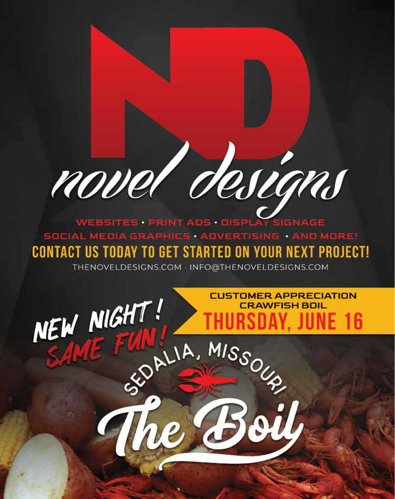# novel designs

WEBSITES PRINT ADS DISPLAY SIGNAGE SOCIAL MEDIA GRAPHICS · ADVERTISING · AND MORE! **CONTACT US TODAY TO GET STARTED ON YOUR NEXT PROJECT!** 

THENOVELDESIGNS.COM INFO@THENOVELDESIGNS.COM